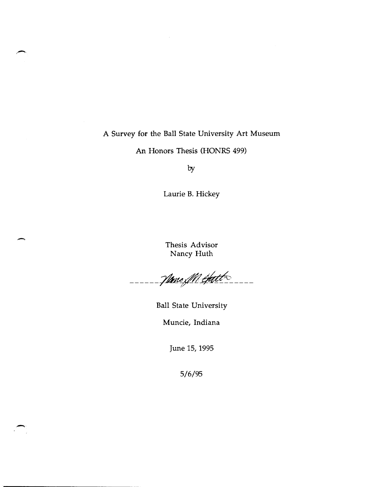# A Survey for the Ball State University Art Museum

An Honors Thesis (HONRS 499)

by

Laurie B. Hickey

Thesis Advisor Nancy Huth

------ Name M Hatt

Ball State University

Muncie, Indiana

June 15, 1995

5/6/95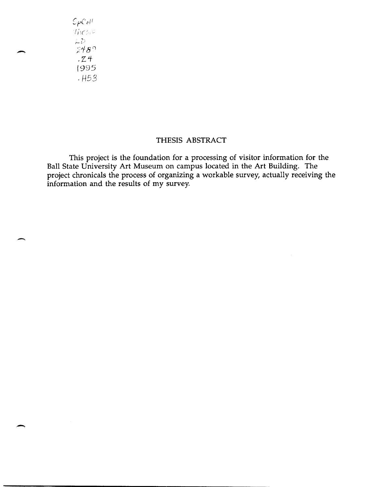${\cal L}_{\rho}$ Coll *fif.*   $LD$  $248$  $.24$ 1995 .H53

## THESIS ABSTRACT

This project is the foundation for a processing of visitor information for the Ball State University Art Museum on campus located in the Art Building. The project chronicals the process of organizing a workable survey, actually receiving the information and the results of my survey.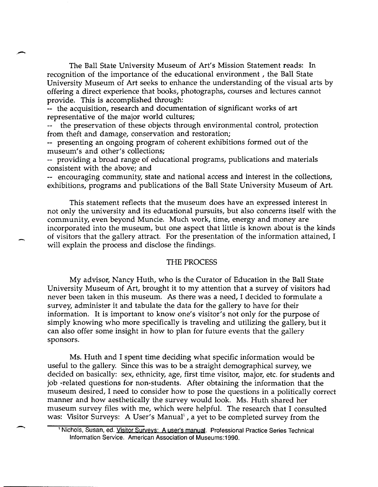The Ball State University Museum of Art's Mission Statement reads: In recognition of the importance of the educational environment, the Ball State University Museum of Art seeks to enhance the understanding of the visual arts by offering a direct experience that books, photographs, courses and lectures cannot provide. This is accomplished through:

-- the acquisition, research and documentation of significant works of art representative of the major world cultures;

the preservation of these objects through environmental control, protection from theft and damage, conservation and restoration;

-- presenting an ongoing program of coherent exhibitions formed out of the museum's and other's collections;

-- providing a broad range of educational programs, publications and materials consistent with the above; and

-- encouraging community, state and national access and interest in the collections, exhibitions, programs and publications of the Ball State University Museum of Art.

This statement reflects that the museum does have an expressed interest in not only the university and its educational pursuits, but also concerns itself with the community, even beyond Muncie. Much work, time, energy and money are incorporated into the museum, but one aspect that little is known about is the kinds of visitors that the gallery attract. For the presentation of the information attained, I will explain the process and disclose the findings.

### THE PROCESS

My advisor, Nancy Huth, who is the Curator of Education in the Ball State University Museum of Art, brought it to my attention that a survey of visitors had never been taken in this museum. As there was a need, I decided to formulate a survey, administer it and tabulate the data for the gallery to have for their information. It is important to know one's visitor's not only for the purpose of simply knowing who more specifically is traveling and utilizing the gallery, but it can also offer some insight in how to plan for future events that the gallery sponsors.

Ms. Huth and I spent time deciding what specific information would be useful to the gallery. Since this was to be a straight demographical survey, we decided on basically: sex, ethnicity, age, first time visitor, major, etc. for students and job -related questions for non-students. After obtaining the information that the museum desired, I need to consider how to pose the questions in a politically correct manner and how aesthetically the survey would look. Ms. Huth shared her museum survey files with me, which were helpful. The research that I consulted was: Visitor Surveys: A User's Manual<sup>1</sup>, a yet to be completed survey from the

<sup>&</sup>lt;sup>1</sup> Nichols, Susan, ed. Visitor Surveys: A user's manual. Professional Practice Series Technical Information Service. American Association of Museums:1990.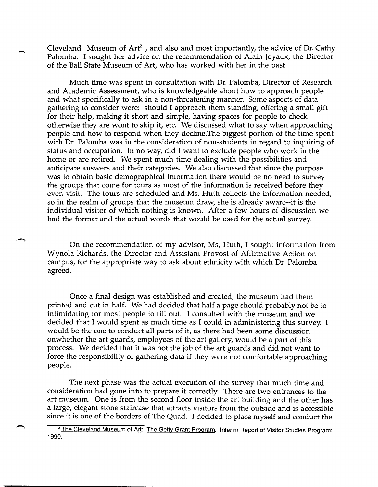Cleveland Museum of  $Art^2$ , and also and most importantly, the advice of Dr. Cathy Palomba. I sought her advice on the recommendation of Alain Joyaux, the Director of the Ball State Museum of Art, who has worked with her in the past.

Much time was spent in consultation with Dr. Palomba, Director of Research and Academic Assessment, who is knowledgeable about how to approach people and what specifically to ask in a non-threatening manner. Some aspects of data gathering to consider were: should I approach them standing, offering a small gift for their help, making it short and simple, having spaces for people to check otherwise they are wont to skip it, etc. We discussed what to say when approaching people and how to respond when they decline. The biggest portion of the time spent with Dr. Palomba was in the consideration of non-students in regard to inquiring of status and occupation. In no way, did I want to exclude people who work in the home or are retired. We spent much time dealing with the possibilities and anticipate answers and their categories. We also discussed that since the purpose was to obtain basic demographical information there would be no need to survey the groups that come for tours as most of the information is received before they even visit. The tours are scheduled and Ms. Huth collects the information needed, so in the realm of groups that the museum draw, she is already aware--it is the individual visitor of which nothing is known. After a few hours of discussion we had the format and the actual words that would be used for the actual survey.

On the recommendation of my advisor, Ms, Huth, I sought information from Wynola Richards, the Director and Assistant Provost of Affirmative Action on campus, for the appropriate way to ask about ethnicity with which Dr. Palomba agreed.

Once a final design was established and created, the museum had them printed and cut in half. We had decided that half a page should probably not be to intimidating for most people to fill out. I consulted with the museum and we decided that I would spent as much time as I could in administering this survey. I would be the one to conduct all parts of it, as there had been some discussion onwhether the art guards, employees of the art gallery, would be a part of this process. We decided that it was not the job of the art guards and did not want to force the responsibility of gathering data if they were not comfortable approaching people.

The next phase was the actual execution of the survey that much time and consideration had gone into to prepare it correctly. There are two entrances to the art museum. One is from the second floor inside the art building and the other has a large, elegant stone staircase that attracts visitors from the outside and is accessible since it is one of the borders of The Quad. I decided to place myself and conduct the

<sup>&</sup>lt;sup>2</sup> The Cleveland Museum of Art: The Getty Grant Program. Interim Report of Visitor Studies Program: 1990.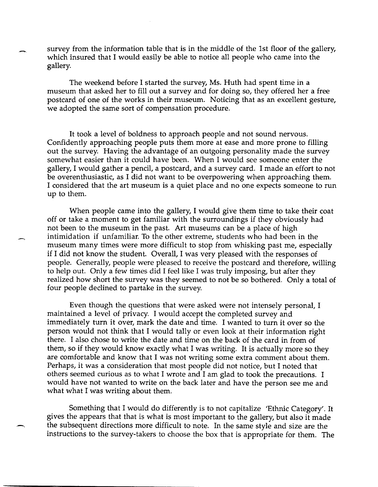survey from the information table that is in the middle of the 1st floor of the gallery, which insured that I would easily be able to notice all people who came into the gallery.

The weekend before I started the survey, Ms. Huth had spent time in a museum that asked her to fill out a survey and for doing so, they offered her a free postcard of one of the works in their museum. Noticing that as an excellent gesture, we adopted the same sort of compensation procedure.

It took a level of boldness to approach people and not sound nervous. Confidently approaching people puts them more at ease and more prone to filling out the survey. Having the advantage of an outgoing personality made the survey somewhat easier than it could have been. When I would see someone enter the gallery, I would gather a pencil, a postcard, and a survey card. I made an effort to not be overenthusiastic, as I did not want to be overpowering when approaching them. I considered that the art museum is a quiet place and no one expects someone to run up to them.

When people came into the gallery, I would give them time to take their coat off or take a moment to get familiar with the surroundings if they obviously had not been to the museum in the past. Art museums can be a place of high intimidation if unfamiliar. To the other extreme, students who had been in the museum many times were more difficult to stop from whisking past me, especially if I did not know the student. Overall, I was very pleased with the responses of people. Generally, people were pleased to receive the postcard and therefore, willing to help out. Only a few times did I feel like I was truly imposing, but after they realized how short the survey was they seemed to not be so bothered. Only a total of four people declined to partake in the survey.

Even though the questions that were asked were not intensely personal, I maintained a level of privacy. I would accept the completed survey and immediately turn it over, mark the date and time. I wanted to turn it over so the person would not think that I would tally or even look at their information right there. I also chose to write the date and time on the back of the card in from of them, so if they would know exactly what I was writing. It is actually more so they are comfortable and know that I was not writing some extra comment about them. Perhaps, it was a consideration that most people did not notice, but I noted that others seemed curious as to what I wrote and I am glad to took the precautions. I would have not wanted to write on the back later and have the person see me and what what I was writing about them.

Something that I would do differently is to not capitalize 'Ethnic Category'. It gives the appears that that is what is most important to the gallery, but also it made the subsequent directions more difficult to note. In the same style and size are the instructions to the survey-takers to choose the box that is appropriate for them. The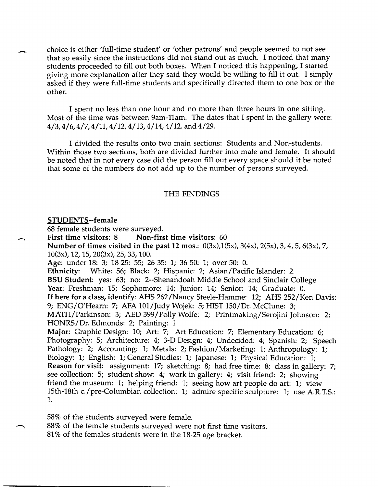choice is either 'full-time student' or 'other patrons' and people seemed to not see that so easily since the instructions did not stand out as much. I noticed that many students proceeded to fill out both boxes. When I noticed this happening, I started giving more explanation after they said they would be willing to fill it out. I simply asked if they were full-time students and specifically directed them to one box or the other.

I spent no less than one hour and no more than three hours in one sitting. Most of the time was between 9am-11am. The dates that I spent in the gallery were: 4/3,4/6,4/7,4/11,4/12,4/13,4/14,4/12. and 4/29.

I divided the results onto two main sections: Students and Non-students. Within those two sections, both are divided further into male and female. It should be noted that in not every case did the person fill out every space should it be noted that some of the numbers do not add up to the number of persons surveyed.

#### THE FINDINGS

#### STUDENTS--female

68 female students were surveyed.

First time visitors: 8 Non-first time visitors: 60 Number of times visited in the past 12 mos.: 0(3x),1(5x), 3(4x), 2(5x), 3, 4,5, 6(3x), 7, 10(3x), 12, 15, 20(3x), 25, 33, 100. Age: under 18: 3; 18-25: 55; 26-35: 1; 36-50: 1; over 50: O. Ethnicity: White: 56; Black: 2; Hispanic: 2; Asian/Pacific Islander: 2. BSU Student: yes: 63; no: 2--Shenandoah Middle School and Sinclair College Year: Freshman: 15; Sophomore: 14; Junior: 14; Senior: 14; Graduate: O. If here for a class, identify: AHS 262/Nancy Steele-Hamme: 12; AHS 252/Ken Davis: 9; ENG/O'Hearn: 7; AFA 101/Judy Wojek: 5; HIST 150/Dr. McClune: 3; MATH/Parkinson: 3; AED 399/Polly Wolfe: 2; Printmaking/Serojini Johnson: 2; HONRS/Dr. Edmonds: 2; Painting: l. Major: Graphic Design: 10; Art: 7; Art Education: 7; Elementary Education: 6; Photography: 5; Architecture: 4; 3-D Design: 4; Undecided: 4; Spanish: 2; Speech Pathology: 2; Accounting: 1; Metals: 2; Fashion/Marketing: 1; Anthropology: 1; Biology: 1; English: 1; General Studies: 1; Japanese: 1; Physical Education: 1; Reason for visit: assignment: 17; sketching: 8; had free time: 8; class in gallery: 7; see collection: 5; student show: 4; work in gallery: 4; visit friend: 2; showing friend the museum: 1; helping friend: 1; seeing how art people do art: 1; view 15th-18th c./pre-Columbian collection: 1; admire specific sculpture: 1; use A.R.T.S.: 1.

58% of the students surveyed were female.

88% of the female students surveyed were not first time visitors. 81 % of the females students were in the 18-25 age bracket.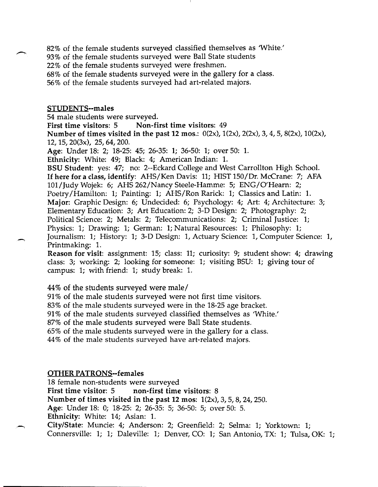- 82% of the female students surveyed classified themselves as 'White.'
- 93% of the female students surveyed were Ball State students
- 22% of the female students surveyed were freshmen.
- 68% of the female students surveyed were in the gallery for a class.
- 56% of the female students surveyed had art-related majors.

### STUDENTS--males

54 male students were surveyed.

First time visitors: 5 Non-first time visitors: 49

Number of times visited in the past 12 mos.: O(2x), 1(2x), 2(2x), 3, 4, 5, 8(2x), 10(2x), 12, IS, 20(3x), 25,64,200.

Age: Under 18: 2; 18-25: 45; 26-35: 1; 36-50: 1; over 50: 1.

Ethnicity: White: 49; Black: 4; American Indian: 1.

BSU Student: yes: 47; no: 2--Eckard College and West Carrollton High School. If here for a class, identify: AHS/Ken Davis: 11; HIST ISO/Dr. McCrane: 7; AFA 101/Judy Wojek: 6; AHS 262/Nancy Steele-Hamme: 5; ENG/O'Hearn: 2; Poetry/Hamilton: 1; Painting: 1; AHS/Ron Rarick: 1; Classics and Latin: 1. Major: Graphic Design: 6; Undecided: 6; Psychology: 4; Art: 4; Architecture: 3; Elementary Education: 3; Art Education: 2; 3-D Design: 2; Photography: 2; Political Science: 2; Metals: 2; Telecommunications: 2; Criminal Justice: 1; Physics: 1; Drawing: 1; German: 1; Natural Resources: 1; Philosophy: 1; Journalism: 1; History: 1; 3-D Design: 1, Actuary Science: 1, Computer Science: I, Printmaking: 1.

Reason for visit: assignment: 15; class: 11; curiosity: 9; student show: 4; drawing class: 3; working: 2; looking for someone: 1; visiting BSU: 1; giving tour of campus: 1; with friend: 1; study break: 1.

- 44% of the students surveyed were male/
- 91% of the male students surveyed were not first time visitors.

83% of the male students surveyed were in the 18-25 age bracket.

91 % of the male students surveyed classified themselves as 'White.'

87% of the male students surveyed were Ball State students.

65% of the male students surveyed were in the gallery for a class.

44% of the male students surveyed have art-related majors.

### OTHER PATRONS--females

18 female non-students were surveyed First time visitor: 5 non-first time visitors: 8 Number of times visited in the past 12 mos: 1(2x), 3, 5, 8, 24, 250. Age: Under 18: 0; 18-25: 2; 26-35: 5; 36-50: 5; over 50: 5. Ethnicity: White: 14; Asian: 1. City/State: Muncie: 4; Anderson: 2; Greenfield: 2; Selma: 1; Yorktown: 1;

Connersville: 1; 1; Daleville: 1; Denver, CO: 1; San Antonio, TX: 1; Tulsa, OK: 1;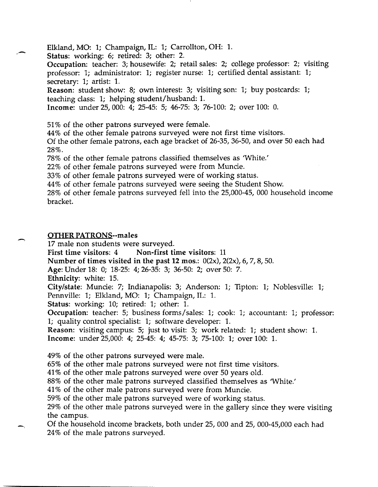Elkland, MO: 1; Champaign, IL: 1; Carrollton, OH: 1.

Status: working: 6; retired: 3; other: 2.

Occupation: teacher: 3; housewife: 2; retail sales: 2; college professor: 2; visiting professor: 1; administrator: 1; register nurse: 1; certified dental assistant: 1; secretary: 1; artist: 1.

Reason: student show: 8; own interest: 3; visiting son: 1; buy postcards: 1; teaching class: 1; helping student/husband: 1.

Income: under 25,000: 4; 25-45: 5; 46-75: 3; 76-100: 2; over 100: O.

51 % of the other patrons surveyed were female.

44% of the other female patrons surveyed were not first time visitors.

Of the other female patrons, each age bracket of 26-35, 36-50, and over 50 each had 28%.

78% of the other female patrons classified themselves as 'White.'

22% of other female patrons surveyed were from Muncie.

33% of other female patrons surveyed were of working status.

44% of other female patrons surveyed were seeing the Student Show.

28% of other female patrons surveyed fell into the 25,000-45, 000 household income bracket.

# OTHER PATRONS--males

17 male non students were surveyed.

First time visitors: 4 Non-first time visitors: 11

Number of times visited in the past 12 mos.:  $0(2x)$ ,  $2(2x)$ , 6, 7, 8, 50.

Age: Under 18: 0; 18-25: 4; 26-35: 3; 36-50: 2; over 50: 7.

Ethnicity: white: 15.

City/state: Muncie: 7; Indianapolis: 3; Anderson: 1; TIpton: 1; Noblesville: 1;

Pennville: 1; Elkland, MO: 1; Champaign, IL: 1.

Status: working: 10; retired: 1; other: 1.

Occupation: teacher: 5; business forms/sales: 1; cook: 1; accountant: 1; professor: 1; quality control specialist: 1; software developer: l.

Reason: visiting campus: 5; just to visit: 3; work related: 1; student show: 1.

Income: under 25,000: 4; 25-45: 4; 45-75: 3; 75-100: 1; over 100: 1.

49% of the other patrons surveyed were male.

65% of the other male patrons surveyed were not first time visitors.

41 % of the other male patrons surveyed were over 50 years old.

88% of the other male patrons surveyed classified themselves as 'White.'

41 % of the other male patrons surveyed were from Muncie.

59% of the other male patrons surveyed were of working status.

29% of the other male patrons surveyed were in the gallery since they were visiting the campus.

Of the household income brackets, both under 25,000 and 25, 000-45,000 each had 24% of the male patrons surveyed.